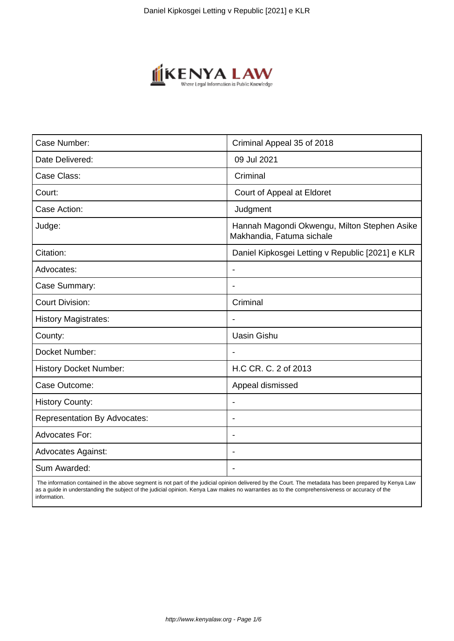

| Case Number:                        | Criminal Appeal 35 of 2018                                                |
|-------------------------------------|---------------------------------------------------------------------------|
| Date Delivered:                     | 09 Jul 2021                                                               |
| Case Class:                         | Criminal                                                                  |
| Court:                              | Court of Appeal at Eldoret                                                |
| Case Action:                        | Judgment                                                                  |
| Judge:                              | Hannah Magondi Okwengu, Milton Stephen Asike<br>Makhandia, Fatuma sichale |
| Citation:                           | Daniel Kipkosgei Letting v Republic [2021] e KLR                          |
| Advocates:                          |                                                                           |
| Case Summary:                       |                                                                           |
| <b>Court Division:</b>              | Criminal                                                                  |
| <b>History Magistrates:</b>         | $\blacksquare$                                                            |
| County:                             | <b>Uasin Gishu</b>                                                        |
| Docket Number:                      |                                                                           |
| <b>History Docket Number:</b>       | H.C CR. C. 2 of 2013                                                      |
| Case Outcome:                       | Appeal dismissed                                                          |
| <b>History County:</b>              | $\overline{\phantom{a}}$                                                  |
| <b>Representation By Advocates:</b> | $\blacksquare$                                                            |
| Advocates For:                      |                                                                           |
| <b>Advocates Against:</b>           |                                                                           |
| Sum Awarded:                        |                                                                           |

 The information contained in the above segment is not part of the judicial opinion delivered by the Court. The metadata has been prepared by Kenya Law as a guide in understanding the subject of the judicial opinion. Kenya Law makes no warranties as to the comprehensiveness or accuracy of the information.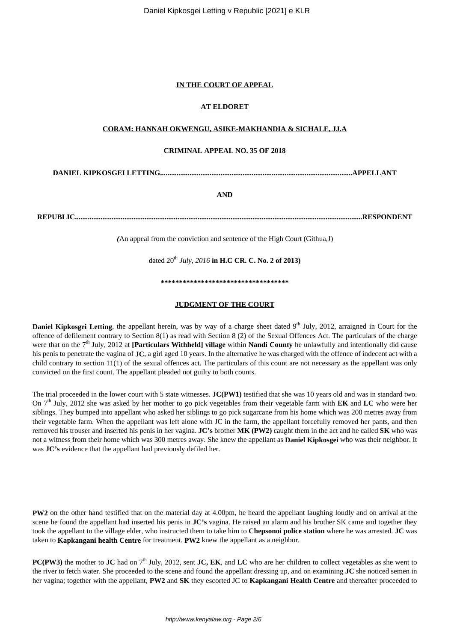Daniel Kipkosgei Letting v Republic [2021] e KLR

## **IN THE COURT OF APPEAL**

## **AT ELDORET**

## **CORAM: HANNAH OKWENGU, ASIKE-MAKHANDIA & SICHALE, JJ.A**

### **CRIMINAL APPEAL NO. 35 OF 2018**

**DANIEL KIPKOSGEI LETTING.........................................................................................................APPELLANT**

## **AND**

**REPUBLIC.............................................................................................................................................................RESPONDENT**

*(*An appeal from the conviction and sentence of the High Court (Githua,J)

dated 20<sup>th</sup> *July, 2016* in H.C CR. C. No. 2 of 2013)

**\*\*\*\*\*\*\*\*\*\*\*\*\*\*\*\*\*\*\*\*\*\*\*\*\*\*\*\*\*\*\*\*\*\*\***

## **JUDGMENT OF THE COURT**

**Daniel Kipkosgei Letting**, the appellant herein, was by way of a charge sheet dated 9<sup>th</sup> July, 2012, arraigned in Court for the offence of defilement contrary to Section 8(1) as read with Section 8 (2) of the Sexual Offences Act. The particulars of the charge were that on the 7<sup>th</sup> July, 2012 at **[Particulars Withheld] village** within **Nandi County** he unlawfully and intentionally did cause his penis to penetrate the vagina of **JC**, a girl aged 10 years. In the alternative he was charged with the offence of indecent act with a child contrary to section 11(1) of the sexual offences act. The particulars of this count are not necessary as the appellant was only convicted on the first count. The appellant pleaded not guilty to both counts.

The trial proceeded in the lower court with 5 state witnesses. **JC(PW1)** testified that she was 10 years old and was in standard two. On 7th July, 2012 she was asked by her mother to go pick vegetables from their vegetable farm with **EK** and **LC** who were her siblings. They bumped into appellant who asked her siblings to go pick sugarcane from his home which was 200 metres away from their vegetable farm. When the appellant was left alone with JC in the farm, the appellant forcefully removed her pants, and then removed his trouser and inserted his penis in her vagina. **JC's** brother **MK (PW2)** caught them in the act and he called **SK** who was not a witness from their home which was 300 metres away. She knew the appellant as **Daniel Kipkosgei** who was their neighbor. It was **JC's** evidence that the appellant had previously defiled her.

**PW2** on the other hand testified that on the material day at 4.00pm, he heard the appellant laughing loudly and on arrival at the scene he found the appellant had inserted his penis in **JC's** vagina. He raised an alarm and his brother SK came and together they took the appellant to the village elder, who instructed them to take him to **Chepsonoi police station** where he was arrested. **JC** was taken to **Kapkangani health Centre** for treatment. **PW2** knew the appellant as a neighbor.

**PC(PW3)** the mother to **JC** had on 7<sup>th</sup> July, 2012, sent **JC**, **EK**, and **LC** who are her children to collect vegetables as she went to the river to fetch water. She proceeded to the scene and found the appellant dressing up, and on examining **JC** she noticed semen in her vagina; together with the appellant, **PW2** and **SK** they escorted JC to **Kapkangani Health Centre** and thereafter proceeded to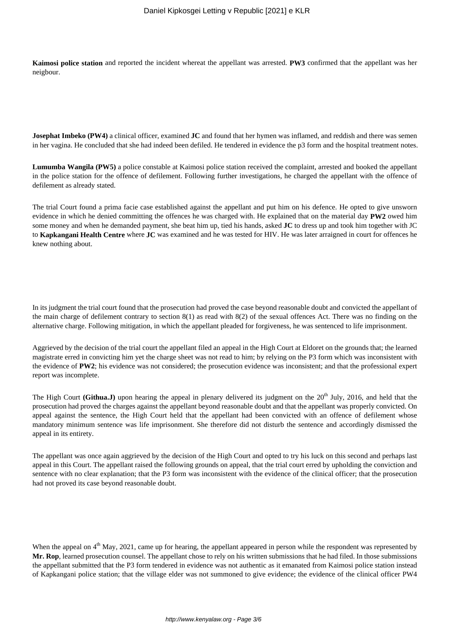**Kaimosi police station** and reported the incident whereat the appellant was arrested. **PW3** confirmed that the appellant was her neigbour.

**Josephat Imbeko (PW4)** a clinical officer, examined **JC** and found that her hymen was inflamed, and reddish and there was semen in her vagina. He concluded that she had indeed been defiled. He tendered in evidence the p3 form and the hospital treatment notes.

**Lumumba Wangila (PW5)** a police constable at Kaimosi police station received the complaint, arrested and booked the appellant in the police station for the offence of defilement. Following further investigations, he charged the appellant with the offence of defilement as already stated.

The trial Court found a prima facie case established against the appellant and put him on his defence. He opted to give unsworn evidence in which he denied committing the offences he was charged with. He explained that on the material day **PW2** owed him some money and when he demanded payment, she beat him up, tied his hands, asked **JC** to dress up and took him together with JC to **Kapkangani Health Centre** where **JC** was examined and he was tested for HIV. He was later arraigned in court for offences he knew nothing about.

In its judgment the trial court found that the prosecution had proved the case beyond reasonable doubt and convicted the appellant of the main charge of defilement contrary to section 8(1) as read with 8(2) of the sexual offences Act. There was no finding on the alternative charge. Following mitigation, in which the appellant pleaded for forgiveness, he was sentenced to life imprisonment.

Aggrieved by the decision of the trial court the appellant filed an appeal in the High Court at Eldoret on the grounds that; the learned magistrate erred in convicting him yet the charge sheet was not read to him; by relying on the P3 form which was inconsistent with the evidence of **PW2**; his evidence was not considered; the prosecution evidence was inconsistent; and that the professional expert report was incomplete.

The High Court **(Githua.J)** upon hearing the appeal in plenary delivered its judgment on the  $20<sup>th</sup>$  July, 2016, and held that the prosecution had proved the charges against the appellant beyond reasonable doubt and that the appellant was properly convicted. On appeal against the sentence, the High Court held that the appellant had been convicted with an offence of defilement whose mandatory minimum sentence was life imprisonment. She therefore did not disturb the sentence and accordingly dismissed the appeal in its entirety.

The appellant was once again aggrieved by the decision of the High Court and opted to try his luck on this second and perhaps last appeal in this Court. The appellant raised the following grounds on appeal, that the trial court erred by upholding the conviction and sentence with no clear explanation; that the P3 form was inconsistent with the evidence of the clinical officer; that the prosecution had not proved its case beyond reasonable doubt.

When the appeal on  $4<sup>th</sup>$  May, 2021, came up for hearing, the appellant appeared in person while the respondent was represented by **Mr. Rop**, learned prosecution counsel. The appellant chose to rely on his written submissions that he had filed. In those submissions the appellant submitted that the P3 form tendered in evidence was not authentic as it emanated from Kaimosi police station instead of Kapkangani police station; that the village elder was not summoned to give evidence; the evidence of the clinical officer PW4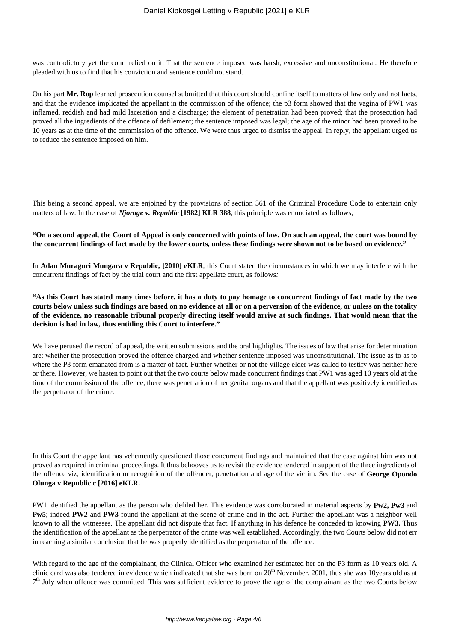was contradictory yet the court relied on it. That the sentence imposed was harsh, excessive and unconstitutional. He therefore pleaded with us to find that his conviction and sentence could not stand.

On his part **Mr. Rop** learned prosecution counsel submitted that this court should confine itself to matters of law only and not facts, and that the evidence implicated the appellant in the commission of the offence; the p3 form showed that the vagina of PW1 was inflamed, reddish and had mild laceration and a discharge; the element of penetration had been proved; that the prosecution had proved all the ingredients of the offence of defilement; the sentence imposed was legal; the age of the minor had been proved to be 10 years as at the time of the commission of the offence. We were thus urged to dismiss the appeal. In reply, the appellant urged us to reduce the sentence imposed on him.

This being a second appeal, we are enjoined by the provisions of section 361 of the Criminal Procedure Code to entertain only matters of law. In the case of *Njoroge v. Republic* [1982] KLR 388, this principle was enunciated as follows;

#### **"On a second appeal, the Court of Appeal is only concerned with points of law. On such an appeal, the court was bound by the concurrent findings of fact made by the lower courts, unless these findings were shown not to be based on evidence."**

In **Adan Muraguri Mungara v Republic, [2010] eKLR**, this Court stated the circumstances in which we may interfere with the concurrent findings of fact by the trial court and the first appellate court, as follows*:*

**"As this Court has stated many times before, it has a duty to pay homage to concurrent findings of fact made by the two courts below unless such findings are based on no evidence at all or on a perversion of the evidence, or unless on the totality of the evidence, no reasonable tribunal properly directing itself would arrive at such findings. That would mean that the decision is bad in law, thus entitling this Court to interfere."**

We have perused the record of appeal, the written submissions and the oral highlights. The issues of law that arise for determination are: whether the prosecution proved the offence charged and whether sentence imposed was unconstitutional. The issue as to as to where the P3 form emanated from is a matter of fact. Further whether or not the village elder was called to testify was neither here or there. However, we hasten to point out that the two courts below made concurrent findings that PW1 was aged 10 years old at the time of the commission of the offence, there was penetration of her genital organs and that the appellant was positively identified as the perpetrator of the crime.

In this Court the appellant has vehemently questioned those concurrent findings and maintained that the case against him was not proved as required in criminal proceedings. It thus behooves us to revisit the evidence tendered in support of the three ingredients of the offence viz; identification or recognition of the offender, penetration and age of the victim. See the case of **George Opondo Olunga v Republic c [2016] eKLR.**

PW1 identified the appellant as the person who defiled her. This evidence was corroborated in material aspects by **Pw2, Pw3** and **Pw5**; indeed **PW2** and **PW3** found the appellant at the scene of crime and in the act. Further the appellant was a neighbor well known to all the witnesses. The appellant did not dispute that fact. If anything in his defence he conceded to knowing **PW3.** Thus the identification of the appellant as the perpetrator of the crime was well established. Accordingly, the two Courts below did not err in reaching a similar conclusion that he was properly identified as the perpetrator of the offence.

With regard to the age of the complainant, the Clinical Officer who examined her estimated her on the P3 form as 10 years old. A clinic card was also tendered in evidence which indicated that she was born on  $20<sup>th</sup>$  November, 2001, thus she was 10years old as at 7<sup>th</sup> July when offence was committed. This was sufficient evidence to prove the age of the complainant as the two Courts below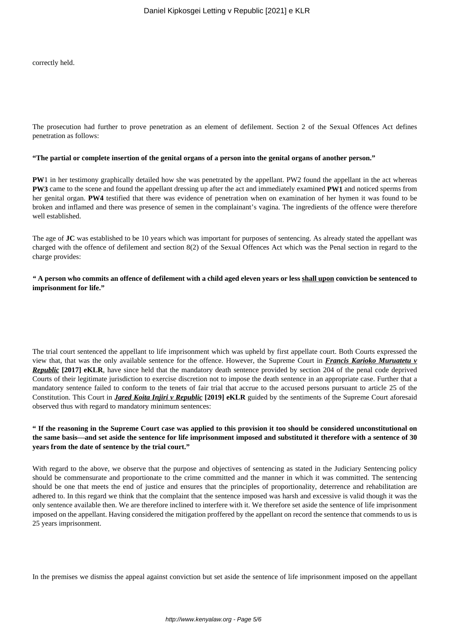correctly held.

The prosecution had further to prove penetration as an element of defilement. Section 2 of the Sexual Offences Act defines penetration as follows:

#### **"The partial or complete insertion of the genital organs of a person into the genital organs of another person."**

**PW**1 in her testimony graphically detailed how she was penetrated by the appellant. PW2 found the appellant in the act whereas **PW3** came to the scene and found the appellant dressing up after the act and immediately examined **PW1** and noticed sperms from her genital organ. **PW4** testified that there was evidence of penetration when on examination of her hymen it was found to be broken and inflamed and there was presence of semen in the complainant's vagina. The ingredients of the offence were therefore well established.

The age of **JC** was established to be 10 years which was important for purposes of sentencing. As already stated the appellant was charged with the offence of defilement and section 8(2) of the Sexual Offences Act which was the Penal section in regard to the charge provides:

*"* **A person who commits an offence of defilement with a child aged eleven years or less shall upon conviction be sentenced to imprisonment for life."**

The trial court sentenced the appellant to life imprisonment which was upheld by first appellate court. Both Courts expressed the view that, that was the only available sentence for the offence. However, the Supreme Court in *Francis Karioko Muruatetu v Republic* **[2017] eKLR**, have since held that the mandatory death sentence provided by section 204 of the penal code deprived Courts of their legitimate jurisdiction to exercise discretion not to impose the death sentence in an appropriate case. Further that a mandatory sentence failed to conform to the tenets of fair trial that accrue to the accused persons pursuant to article 25 of the Constitution. This Court in *Jared Koita Injiri v Republic* **[2019] eKLR** guided by the sentiments of the Supreme Court aforesaid observed thus with regard to mandatory minimum sentences:

### **" If the reasoning in the Supreme Court case was applied to this provision it too should be considered unconstitutional on the same basis—and set aside the sentence for life imprisonment imposed and substituted it therefore with a sentence of 30 years from the date of sentence by the trial court."**

With regard to the above, we observe that the purpose and objectives of sentencing as stated in the Judiciary Sentencing policy should be commensurate and proportionate to the crime committed and the manner in which it was committed. The sentencing should be one that meets the end of justice and ensures that the principles of proportionality, deterrence and rehabilitation are adhered to. In this regard we think that the complaint that the sentence imposed was harsh and excessive is valid though it was the only sentence available then. We are therefore inclined to interfere with it. We therefore set aside the sentence of life imprisonment imposed on the appellant. Having considered the mitigation proffered by the appellant on record the sentence that commends to us is 25 years imprisonment.

In the premises we dismiss the appeal against conviction but set aside the sentence of life imprisonment imposed on the appellant